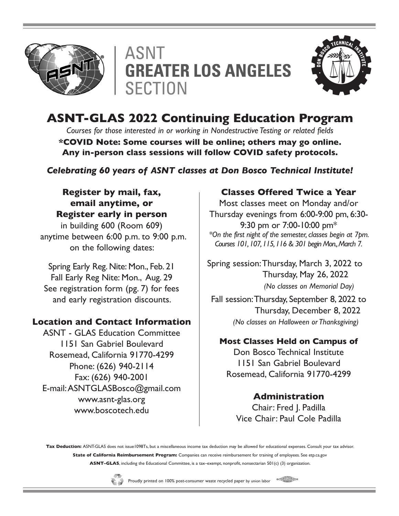





# **ASNT-GLAS 2022 Continuing Education Program**

*Courses for those interested in or working in Nondestructive Testing or related fields* **\*COVID Note: Some courses will be online; others may go online. Any in-person class sessions will follow COVID safety protocols.**

*Celebrating 60 years of ASNT classes at Don Bosco Technical Institute!*

## **Register by mail, fax, email anytime, or Register early in person**

in building 600 (Room 609) anytime between 6:00 p.m. to 9:00 p.m. on the following dates:

Spring Early Reg. Nite: Mon., Feb. 21 Fall Early Reg Nite: Mon., Aug. 29 See registration form (pg. 7) for fees and early registration discounts.

# **Location and Contact Information**

ASNT - GLAS Education Committee 1151 San Gabriel Boulevard Rosemead, California 91770-4299 Phone: (626) 940-2114 Fax: (626) 940-2001 E-mail: ASNTGLASBosco@gmail.com www.asnt-glas.org www.boscotech.edu

# **Classes Offered Twice a Year**

Most classes meet on Monday and/or Thursday evenings from 6:00-9:00 pm, 6:30- 9:30 pm or 7:00-10:00 pm\* *\*On the first night of the semester, classes begin at 7pm. Courses 101, 107, 115, 116 & 301 begin Mon., March 7.*

Spring session: Thursday, March 3, 2022 to Thursday, May 26, 2022  *(No classes on Memorial Day)* 

Fall session: Thursday, September 8, 2022 to Thursday, December 8, 2022  *(No classes on Halloween or Thanksgiving)* 

# **Most Classes Held on Campus of**

Don Bosco Technical Institute 1151 San Gabriel Boulevard Rosemead, California 91770-4299

# **Administration**

Chair: Fred J. Padilla Vice Chair: Paul Cole Padilla

Tax Deduction: ASNT-GLAS does not issue1098Ts, but a miscellaneous income tax deduction may be allowed for educational expenses. Consult your tax advisor. **State of California Reimbursement Program:** Companies can receive reimbursement for training of employees. See etp.ca.gov **ASNT–GLAS**, including the Educational Committee, is a tax–exempt, nonprofit, nonsectarian 501(c) (3) organization.



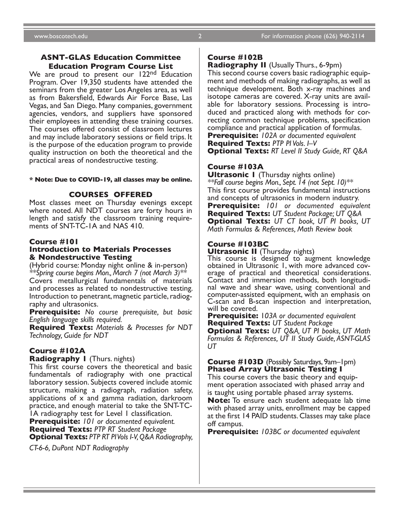#### **ASNT-GLAS Education Committee Education Program Course List**

We are proud to present our 122<sup>nd</sup> Education Program. Over 19,350 students have attended the seminars from the greater Los Angeles area, as well as from Bakersfield, Edwards Air Force Base, Las Vegas, and San Diego. Many companies, government agencies, vendors, and suppliers have sponsored their employees in attending these training courses. The courses offered consist of classroom lectures and may include laboratory sessions or field trips. It is the purpose of the education program to provide quality instruction on both the theoretical and the practical areas of nondestructive testing.

#### **\* Note: Due to COVID-19, all classes may be online.**

#### **COURSES OFFERED**

Most classes meet on Thursday evenings except where noted. All NDT courses are forty hours in length and satisfy the classroom training require- ments of SNT-TC-1A and NAS 410.

#### **Course #101 Introduction to Materials Processes & Nondestructive Testing**

(Hybrid course: Monday night online & in-person) *\*\*Spring course begins Mon., March 7 (not March 3)\*\** Covers metallurgical fundamentals of materials and processes as related to nondestructive testing. Introduction to penetrant, magnetic particle, radiography and ultrasonics.

**Prerequisite:** *No course prerequisite, but basic English language skills required.*

**Required Texts:** *Materials & Processes for NDT Technology, Guide for NDT*

#### **Course #102A**

**Radiography 1** (Thurs. nights)

This first course covers the theoretical and basic fundamentals of radiography with one practical laboratory session. Subjects covered include atomic structure, making a radiograph, radiation safety, applications of x and gamma radiation, darkroom practice, and enough material to take the SNT-TC-1A radiography test for Level 1 classification.

**Prerequisite:** *101 or documented equivalent.* **Required Texts:** *PTP RT Student Package* **Optional Texts:** *PTP RT PI Vols I-V, Q&A Radiography,* 

*CT-6-6, DuPont NDT Radiography*

#### **Course #102B**

**Radiography II** (Usually Thurs., 6-9pm)

This second course covers basic radiographic equip- ment and methods of making radiographs, as well as technique development. Both x-ray machines and isotope cameras are covered. X-ray units are available for laboratory sessions. Processing is intro-<br>duced and practiced along with methods for cor-<br>recting common technique problems, specification compliance and practical application of formulas. **Prerequisite:** *102A or documented equivalent* **Required Texts:** *PTP PI Vols. I–V*

**Optional Texts:** *RT Level II Study Guide, RT Q&A*

#### **Course #103A**

**Ultrasonic I** (Thursday nights online) *\*\*Fall course begins Mon., Sept. 14 (not Sept. 10)\*\** This first course provides fundamental instructions and concepts of ultrasonics in modern industry. **Prerequisite:** *101 or documented equivalent*  **Required Texts:** *UT Student Package; UT Q&A* **Optional Texts:** *UT CT book, UT PI books, UT Math Formulas & References, Math Review book*

#### **Course #103BC**

**Ultrasonic II** (Thursday nights)

This course is designed to augment knowledge obtained in Ultrasonic 1, with more advanced cov- erage of practical and theoretical considerations. Contact and immersion methods, both longitudi- nal wave and shear wave, using conventional and computer-assisted equipment, with an emphasis on C-scan and B-scan inspection and interpretation, will be covered.

**Prerequisite:** 1*03A or documented equivalent* **Required Texts:** *UT Student Package*

**Optional Texts:** *UT Q&A, UT PI books, UT Math Formulas & References, UT II Study Guide, ASNT-GLAS UT*

#### **Course #103D** (Possibly Saturdays, 9am–1pm) **Phased Array Ultrasonic Testing I**

This course covers the basic theory and equipment operation associated with phased array and is taught using portable phased array systems.

**Note:** To ensure each student adequate lab time with phased array units, enrollment may be capped at the first 14 PAID students. Classes may take place off campus.

**Prerequisite:** *103BC or documented equivalent*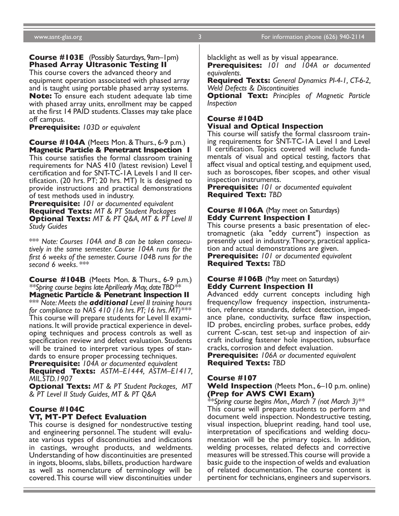#### **Course #103E** (Possibly Saturdays, 9am–1pm) **Phased Array Ultrasonic Testing II**

This course covers the advanced theory and equipment operation associated with phased array and is taught using portable phased array systems. **Note:** To ensure each student adequate lab time with phased array units, enrollment may be capped at the first 14 PAID students. Classes may take place off campus.

**Prerequisite:** *103D or equivalent*

**Course #104A** (Meets Mon. & Thurs., 6-9 p.m.) **Magnetic Particle & Penetrant Inspection 1**

This course satisfies the formal classroom training requirements for NAS 410 (latest revision) Level I certification and for SNT-TC-1A Levels I and II cer- tification. (20 hrs. PT; 20 hrs. MT) It is designed to provide instructions and practical demonstrations of test methods used in industry.

**Prerequisite:** *101 or documented equivalent* **Required Texts:** *MT & PT Student Packages* **Optional Texts:** *MT & PT Q&A, MT & PT Level II Study Guides*

\*\*\* *Note: Courses 104A and B can be taken consecu- tively in the same semester. Course 104A runs for the first 6 weeks of the semester. Course 104B runs for the second 6 weeks*. \*\*\*

**Course #104B** (Meets Mon. & Thurs., 6-9 p.m.) *\*\*Spring course begins late April/early May, date TBD\*\**

**Magnetic Particle & Penetrant Inspection II** \*\*\* *Note: Meets the additional Level II training hours for compliance to NAS 410 (16 hrs. PT; 16 hrs. MT)\*\*\** This course will prepare students for Level II exami- nations. It will provide practical experience in devel- oping techniques and process controls as well as specification review and defect evaluation. Students will be trained to interpret various types of stan- dards to ensure proper processing techniques.

**Prerequisite:** *104A or documented equivalent* **Required Texts:** *ASTM–E1444, ASTM–E1417, MIL.STD.1907* 

**Optional Texts:** *MT & PT Student Packages, MT & PT Level II Study Guides, MT & PT Q&A*

## **Course #104C VT, MT-PT Defect Evaluation**

This course is designed for nondestructive testing and engineering personnel. The student will evalu- ate various types of discontinuities and indications in castings, wrought products, and weldments. Understanding of how discontinuities are presented in ingots, blooms, slabs, billets, production hardware as well as nomenclature of terminology will be covered. This course will view discontinuities under

blacklight as well as by visual appearance.

**Prerequisites:** *101 and 104A or documented equivalents.*

**Required Texts:** *General Dynamics PI-4-1, CT-6-2, Weld Defects & Discontinuities*

**Optional Text:** *Principles of Magnetic Particle Inspection*

#### **Course #104D Visual and Optical Inspection**

This course will satisfy the formal classroom train- ing requirements for SNT-TC-1A Level I and Level II certification. Topics covered will include funda- mentals of visual and optical testing, factors that affect visual and optical testing, and equipment used, such as boroscopes, fiber scopes, and other visual inspection instruments.

**Prerequisite:** *101 or documented equivalent* **Required Text:** *TBD*

#### **Course #106A** (May meet on Saturdays) **Eddy Current Inspection I**

This course presents a basic presentation of elec- tromagnetic (aka "eddy current") inspection as presently used in industry. Theory, practical applica- tion and actual demonstrations are given.

**Prerequisite:** *101 or documented equivalent* **Required Texts:** *TBD*

#### **Course #106B** (May meet on Saturdays) **Eddy Current Inspection II**

Advanced eddy current concepts including high frequency/low frequency inspection, instrumentation, reference standards, defect detection, impedance plane, conductivity, surface flaw inspection, ID probes, encircling probes, surface probes, eddy current C-scan, test set-up and inspection of air- craft including fastener hole inspection, subsurface cracks, corrosion and defect evaluation.

**Prerequisite:** *106A or documented equivalent* **Required Texts:** *TBD*

#### **Course #107**

#### **Weld Inspection** (Meets Mon., 6–10 p.m. online) **(Prep for AWS CWI Exam)**

*\*\*Spring course begins Mon., March 7 (not March 3)\*\** This course will prepare students to perform and document weld inspection. Nondestructive testing, visual inspection, blueprint reading, hand tool use, interpretation of specifications and welding docu- mentation will be the primary topics. In addition, welding processes, related defects and corrective measures will be stressed. This course will provide a basic guide to the inspection of welds and evaluation of related documentation. The course content is pertinent for technicians, engineers and supervisors.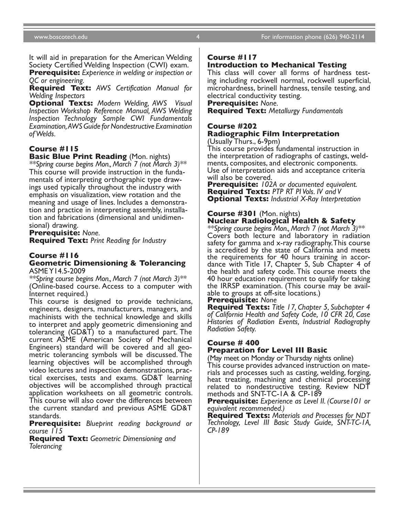It will aid in preparation for the American Welding Society Certified Welding Inspection (CWI) exam.

**Prerequisite:** *Experience in welding or inspection or QC or engineering.*

**Required Text:** *AWS Certification Manual for Welding Inspectors*

**Optional Texts:** *Modern Welding, AWS Visual Inspection Workshop Reference Manual, AWS Welding Inspection Technology Sample CWI Fundamentals Examination, AWS Guide for Nondestructive Examination of Welds.*

#### **Course #115**

**Basic Blue Print Reading** (Mon. nights)

*\*\*Spring course begins Mon., March 7 (not March 3)\*\** This course will provide instruction in the funda- mentals of interpreting orthographic type draw- ings used typically throughout the industry with emphasis on visualization, view rotation and the meaning and usage of lines. Includes a demonstration and practice in interpreting assembly, installation and fabrications (dimensional and unidimensional) drawing.

**Prerequisite:** *None.*

**Required Text:** *Print Reading for Industry*

#### **Course #116 Geometric Dimensioning & Tolerancing** ASME Y14.5-2009

*\*\*Spring course begins Mon., March 7 (not March 3)\*\** (Online-based course. Access to a computer with

Internet required.) This course is designed to provide technicians, engineers, designers, manufacturers, managers, and machinists with the technical knowledge and skills to interpret and apply geometric dimensioning and tolerancing (GD&T) to a manufactured part. The current ASME (American Society of Mechanical Engineers) standard will be covered and all geo- metric tolerancing symbols will be discussed. The learning objectives will be accomplished through video lectures and inspection demonstrations, prac- tical exercises, tests and exams. GD&T learning objectives will be accomplished through practical application worksheets on all geometric controls. This course will also cover the differences between the current standard and previous ASME GD&T standards.

**Prerequisite:** *Blueprint reading background or course 115*

**Required Text:** *Geometric Dimensioning and Tolerancing*

#### **Course #117**

#### **Introduction to Mechanical Testing**

This class will cover all forms of hardness test- ing including rockwell normal, rockwell superficial, microhardness, brinell hardness, tensile testing, and electrical conductivity testing.

**Prerequisite:** *None.*

**Required Text:** *Metallurgy Fundamentals*

#### **Course #202 Radiographic Film Interpretation** (Usually Thurs., 6-9pm)

This course provides fundamental instruction in the interpretation of radiographs of castings, weld- ments, composites, and electronic components. Use of interpretation aids and acceptance criteria

will also be covered. **Prerequisite:** *102A or documented equivalent.* **Required Texts:** *PTP RT PI Vols. IV and V* **Optional Texts:** *Industrial X-Ray Interpretation*

#### **Course #301** (Mon. nights) **Nuclear Radiological Health & Safety**

*\*\*Spring course begins Mon., March 7 (not March 3)\*\** Covers both lecture and laboratory in radiation safety for gamma and x-ray radiography. This course is accredited by the state of California and meets the requirements for 40 hours training in accordance with Title 17, Chapter 5, Sub Chapter 4 of the health and safety code. This course meets the 40 hour education requirement to qualify for taking the IRRSP examination. (This course may be avail- able to groups at off-site locations.)

#### **Prerequisite:** *None*

**Required Texts:** *Title 17, Chapter 5, Subchapter 4 of California Health and Safety Code, 10 CFR 20, Case Histories of Radiation Events, Industrial Radiography Radiation Safety.*

#### **Course # 400**

#### **Preparation for Level III Basic**

(May meet on Monday or Thursday nights online) This course provides advanced instruction on mate- rials and processes such as casting, welding, forging, heat treating, machining and chemical processing related to nondestructive testing. Review NDT methods and SNT-TC-1A & CP-189

**Prerequisite:** *Experience as Level II. (Course101 or equivalent recommended.)*

**Required Texts:** *Materials and Processes for NDT Technology, Level III Basic Study Guide, SNT-TC-1A, CP-189*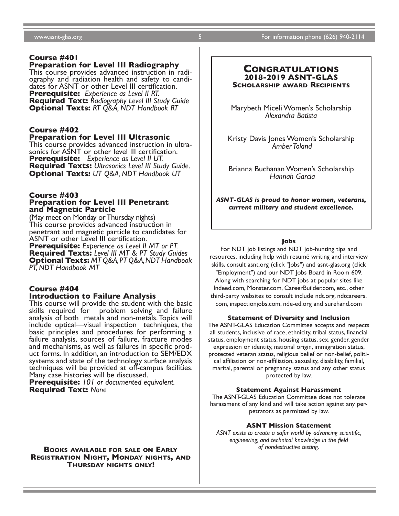#### www.asnt-glas.org 5 For information phone (626) 940-2114

#### **Course #401**

#### **Preparation for Level III Radiography**

This course provides advanced instruction in radi- ography and radiation health and safety to candi- dates for ASNT or other Level III certification. **Prerequisite:** *Experience as Level II RT.* **Required Text:** *Radiography Level III Study Guide* **Optional Texts:** *RT Q&A, NDT Handbook RT*

## **Course #402**

#### **Preparation for Level III Ultrasonic**

This course provides advanced instruction in ultra- sonics for ASNT or other level III certification. **Prerequisite:** *Experience as Level II UT.* **Required Texts:** *Ultrasonics Level III Study Guide.* **Optional Texts:** *UT Q&A, NDT Handbook UT*

#### **Course #403 Preparation for Level III Penetrant and Magnetic Particle**

(May meet on Monday or Thursday nights) This course provides advanced instruction in penetrant and magnetic particle to candidates for ASNT or other Level III certification.

**Prerequisite:** *Experience as Level II MT or PT.* **Required Texts:** *Level III MT & PT Study Guides* **Optional Texts:** *MT Q&A, PT Q&A, NDT Handbook PT, NDT Handbook MT*

#### **Course #404 Introduction to Failure Analysis**

This course will provide the student with the basic problem solving and failure analysis of both metals and non-metals. Topics will include optical—visual inspection techniques, the basic principles and procedures for performing a failure analysis, sources of failure, fracture modes and mechanisms, as well as failures in specific prod- uct forms. In addition, an introduction to SEM/EDX systems and state of the technology surface analysis techniques will be provided at off-campus facilities. Many case histories will be discussed.

**Prerequisite:** *101 or documented equivalent.* **Required Text:** *None*

#### **Books available for sale on Early Registration Night, Monday nights, and Thursday nights only!**

#### **Congratulations 2018-2019 ASNT-GLAS Scholarship award Recipients**

Marybeth Miceli Women's Scholarship *Alexandra Batista*

Kristy Davis Jones Women's Scholarship  *Amber Toland*

Brianna Buchanan Women's Scholarship  *Hannah Garcia*

*ASNT-GLAS is proud to honor women, veterans, current military and student excellence.*

#### **Jobs**

For NDT job listings and NDT job-hunting tips and resources, including help with resumé writing and interview skills, consult asnt.org (click "Jobs") and asnt-glas.org (click "Employment") and our NDT Jobs Board in Room 609. Along with searching for NDT jobs at popular sites like Indeed.com, Monster.com, CareerBuilder.com, etc., other third-party websites to consult include ndt.org, ndtcareers. com, inspectionjobs.com, nde-ed.org and surehand.com

#### **Statement of Diversity and Inclusion**

The ASNT-GLAS Education Committee accepts and respects all students, inclusive of race, ethnicity, tribal status, financial status, employment status, housing status, sex, gender, gender expression or identity, national origin, immigration status, protected veteran status, religious belief or non-belief, political affiliation or non-affiliation, sexuality, disability, familial, marital, parental or pregnancy status and any other status protected by law.

#### **Statement Against Harassment**

The ASNT-GLAS Education Committee does not tolerate harassment of any kind and will take action against any perpetrators as permitted by law.

#### **ASNT Mission Statement**

*ASNT exists to create a safer world by advancing scientific, engineering, and technical knowledge in the field of nondestructive testing.*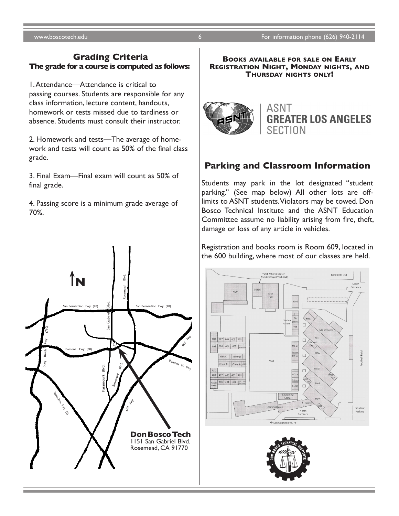#### **Grading Criteria The grade for a course is computed as follows:**

1. Attendance—Attendance is critical to passing courses. Students are responsible for any class information, lecture content, handouts, homework or tests missed due to tardiness or absence. Students must consult their instructor.

2. Homework and tests—The average of homework and tests will count as 50% of the final class grade.

3. Final Exam—Final exam will count as 50% of final grade.

4. Passing score is a minimum grade average of 70%.

**Books available for sale on Early Registration Night, Monday nights, and Thursday nights only!**



## **Parking and Classroom Information**

Students may park in the lot designated "student parking." (See map below) All other lots are offlimits to ASNT students. Violators may be towed. Don Bosco Technical Institute and the ASNT Education Committee assume no liability arising from fire, theft, damage or loss of any article in vehicles.

Registration and books room is Room 609, located in the 600 building, where most of our classes are held.





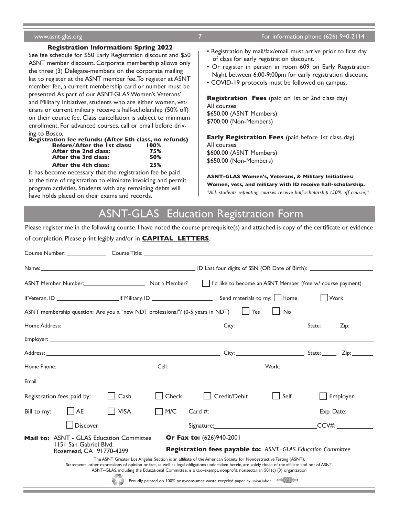#### **Registration Information: Spring 2022**

See fee schedule for \$50 Early Registration discount and \$50 ASNT member discount. Corporate membership allows only the three (3) Delegate-members on the corporate mailing list to register at the ASNT member fee. To register at ASNT member fee, a current membership card or number must be presented. As part of our ASNT-GLAS Women's, Veterans' and Military Initiatives, students who are either women, veterans or current military receive a half-scholarship (50% off) on their course fee. Class cancellation is subject to minimum enrollment. For advanced courses, call or email before driving to Bosco.<br>Registration

| Registration fee refunds: (After 5th class, no refunds) |      |  |
|---------------------------------------------------------|------|--|
| Before/After the 1st class:                             | 100% |  |
| After the 2nd class:                                    | 75%  |  |
| After the 3rd class:                                    | 50%  |  |
| After the 4th class:                                    | 25%  |  |

It has become necessary that the registration fee be paid at the time of registration to eliminate invoicing and permit program activities. Students with any remaining debts will have holds placed on their exams and records.

- Registration by mail/fax/email must arrive prior to first day of class for early registration discount.
- Or register in person in room 609 on Early Registration Night between 6:00-9:00pm for early registration discount.
- COVID-19 protocols must be followed on campus.

**Registration Fees** (paid on 1st or 2nd class day) All courses \$650.00 (ASNT Members) \$700.00 (Non-Members)

**Early Registration Fees** (paid before 1st class day) All courses \$600.00 (ASNT Members) \$650.00 (Non-Members)

**ASNT-GLAS Women's, Veterans, & Military Initiatives: Women, vets, and military with ID receive half-scholarship.** *\*ALL students repeating courses receive half-scholarship (50% off course)\**

# ASNT-GLASEducation Registration Form

Please register me in the following course. I have noted the course prerequisite(s) and attached is copy of the certificate or evidence

of completion. Please print legibly and/or in **CAPITAL LETTERS**. Course Number: Course Title: Course Title: Name: ID Last four digits of SSN (OR Date of Birth): ASNT Member Number: Not a Member? I'd like to become an ASNT Member (free w/ course payment) If Veteran, ID If Military, ID Send materials to my: Home Work ASNT membership question: Are you a "new NDT professional"? (0-5 years in NDT)  $\Box$  Yes  $\Box$  No Home Address: City: State: Zip: Employer: **Employer:** The contract of the contract of the contract of the contract of the contract of the contract of the contract of the contract of the contract of the contract of the contract of the contract of the cont Address: City: State: Zip: Home Phone: Cell: Work: Email: Registration fees paid by:  $\Box$  Cash  $\Box$  Check  $\Box$  Credit/Debit  $\Box$  Self  $\Box$  Employer  $Bill$  to my:  $A = \Box A$  VISA  $\Box$  M/C  $\Box$  Card #:  $\Box$  Exp. Date:  $\Box$  Discover Signature: CCV#: **Mail to: ASNT - GLAS Education Committee Or Fax to:** (626)940-2001 1151 San Gabriel Blvd. **Registration fees payable to:** *ASNT - GLAS Education Committee* Rosemead, CA 91770-4299 The ASNT Greater Los Angeles Section is an affiliate of the American Society for Nondestructive Testing (ASNT). Statements, other expressions of opinion or fact, as well as legal obligations undertaken herein, are solely those of the affiliate and not of ASNT. ASNT–GLAS, including the Educational Committee, is a tax–exempt, nonprofit, nonsectarian 501(c) (3) organization Proudly printed on 100% post-consumer waste recycled paper by union labor $\epsilon$